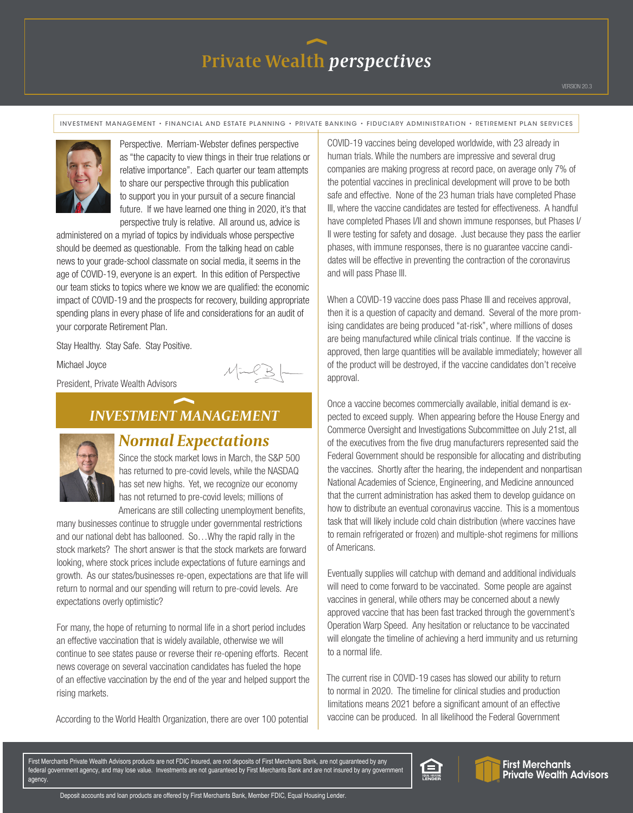INVESTMENT MANAGEMENT • FINANCIAL AND ESTATE PLANNING • PRIVATE BANKING • FIDUCIARY ADMINISTRATION • RETIREMENT PLAN SERVICES



Perspective. Merriam-Webster defines perspective as "the capacity to view things in their true relations or relative importance". Each quarter our team attempts to share our perspective through this publication to support you in your pursuit of a secure financial future. If we have learned one thing in 2020, it's that perspective truly is relative. All around us, advice is

administered on a myriad of topics by individuals whose perspective should be deemed as questionable. From the talking head on cable news to your grade-school classmate on social media, it seems in the age of COVID-19, everyone is an expert. In this edition of Perspective our team sticks to topics where we know we are qualified: the economic impact of COVID-19 and the prospects for recovery, building appropriate spending plans in every phase of life and considerations for an audit of your corporate Retirement Plan.

Stay Healthy. Stay Safe. Stay Positive.

Michael Joyce

President, Private Wealth Advisors

## *INVESTMENT MANAGEMENT*



### *Normal Expectations*

Since the stock market lows in March, the S&P 500 has returned to pre-covid levels, while the NASDAQ has set new highs. Yet, we recognize our economy has not returned to pre-covid levels; millions of

Americans are still collecting unemployment benefits, many businesses continue to struggle under governmental restrictions and our national debt has ballooned. So…Why the rapid rally in the stock markets? The short answer is that the stock markets are forward looking, where stock prices include expectations of future earnings and growth. As our states/businesses re-open, expectations are that life will return to normal and our spending will return to pre-covid levels. Are expectations overly optimistic?

For many, the hope of returning to normal life in a short period includes an effective vaccination that is widely available, otherwise we will continue to see states pause or reverse their re-opening efforts. Recent news coverage on several vaccination candidates has fueled the hope of an effective vaccination by the end of the year and helped support the rising markets.

According to the World Health Organization, there are over 100 potential

COVID-19 vaccines being developed worldwide, with 23 already in human trials. While the numbers are impressive and several drug companies are making progress at record pace, on average only 7% of the potential vaccines in preclinical development will prove to be both safe and effective. None of the 23 human trials have completed Phase III, where the vaccine candidates are tested for effectiveness. A handful have completed Phases I/II and shown immune responses, but Phases I/ II were testing for safety and dosage. Just because they pass the earlier phases, with immune responses, there is no guarantee vaccine candidates will be effective in preventing the contraction of the coronavirus and will pass Phase III.

When a COVID-19 vaccine does pass Phase III and receives approval, then it is a question of capacity and demand. Several of the more promising candidates are being produced "at-risk", where millions of doses are being manufactured while clinical trials continue. If the vaccine is approved, then large quantities will be available immediately; however all of the product will be destroyed, if the vaccine candidates don't receive approval.

Once a vaccine becomes commercially available, initial demand is expected to exceed supply. When appearing before the House Energy and Commerce Oversight and Investigations Subcommittee on July 21st, all of the executives from the five drug manufacturers represented said the Federal Government should be responsible for allocating and distributing the vaccines. Shortly after the hearing, the independent and nonpartisan National Academies of Science, Engineering, and Medicine announced that the current administration has asked them to develop guidance on how to distribute an eventual coronavirus vaccine. This is a momentous task that will likely include cold chain distribution (where vaccines have to remain refrigerated or frozen) and multiple-shot regimens for millions of Americans.

Eventually supplies will catchup with demand and additional individuals will need to come forward to be vaccinated. Some people are against vaccines in general, while others may be concerned about a newly approved vaccine that has been fast tracked through the government's Operation Warp Speed. Any hesitation or reluctance to be vaccinated will elongate the timeline of achieving a herd immunity and us returning to a normal life.

The current rise in COVID-19 cases has slowed our ability to return to normal in 2020. The timeline for clinical studies and production limitations means 2021 before a significant amount of an effective vaccine can be produced. In all likelihood the Federal Government

First Merchants Private Wealth Advisors products are not FDIC insured, are not deposits of First Merchants Bank, are not guaranteed by any federal government agency, and may lose value. Investments are not guaranteed by First Merchants Bank and are not insured by any government agency.



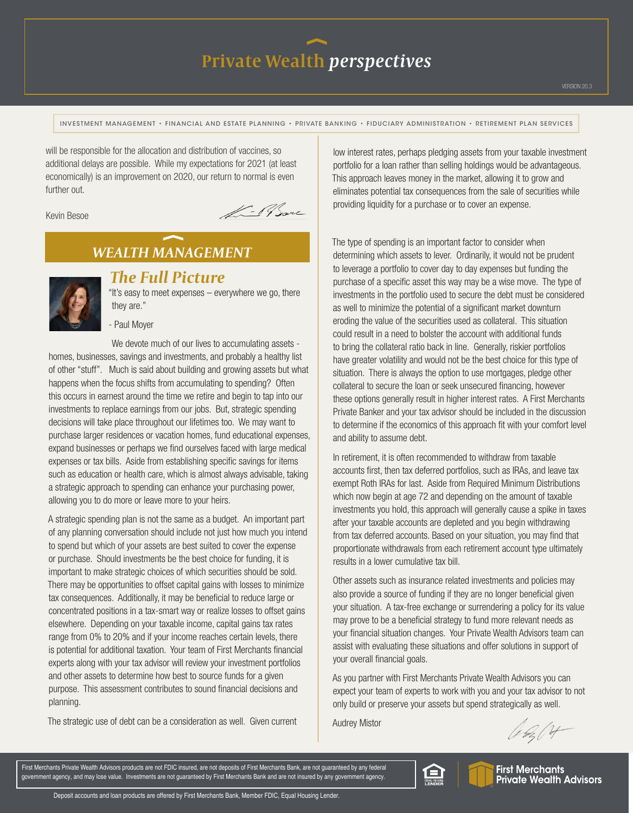INVESTMENT MANAGEMENT • FINANCIAL AND ESTATE PLANNING • PRIVATE BANKING • FIDUCIARY ADMINISTRATION • RETIREMENT PLAN SERVICES

will be responsible for the allocation and distribution of vaccines, so additional delays are possible. While my expectations for 2021 (at least economically) is an improvement on 2020, our return to normal is even further out.

#### Kevin Besoe

L-19 Same

### *WEALTH MANAGEMENT*



#### *The Full Picture*

"It's easy to meet expenses – everywhere we go, there they are."

- Paul Moyer

We devote much of our lives to accumulating assets homes, businesses, savings and investments, and probably a healthy list of other "stuff". Much is said about building and growing assets but what happens when the focus shifts from accumulating to spending? Often this occurs in earnest around the time we retire and begin to tap into our investments to replace earnings from our jobs. But, strategic spending decisions will take place throughout our lifetimes too. We may want to purchase larger residences or vacation homes, fund educational expenses, expand businesses or perhaps we find ourselves faced with large medical expenses or tax bills. Aside from establishing specific savings for items such as education or health care, which is almost always advisable, taking a strategic approach to spending can enhance your purchasing power, allowing you to do more or leave more to your heirs.

A strategic spending plan is not the same as a budget. An important part of any planning conversation should include not just how much you intend to spend but which of your assets are best suited to cover the expense or purchase. Should investments be the best choice for funding, it is important to make strategic choices of which securities should be sold. There may be opportunities to offset capital gains with losses to minimize tax consequences. Additionally, it may be beneficial to reduce large or concentrated positions in a tax-smart way or realize losses to offset gains elsewhere. Depending on your taxable income, capital gains tax rates range from 0% to 20% and if your income reaches certain levels, there is potential for additional taxation. Your team of First Merchants financial experts along with your tax advisor will review your investment portfolios and other assets to determine how best to source funds for a given purpose. This assessment contributes to sound financial decisions and planning.

The strategic use of debt can be a consideration as well. Given current

low interest rates, perhaps pledging assets from your taxable investment portfolio for a loan rather than selling holdings would be advantageous. This approach leaves money in the market, allowing it to grow and eliminates potential tax consequences from the sale of securities while providing liquidity for a purchase or to cover an expense.

The type of spending is an important factor to consider when determining which assets to lever. Ordinarily, it would not be prudent to leverage a portfolio to cover day to day expenses but funding the purchase of a specific asset this way may be a wise move. The type of investments in the portfolio used to secure the debt must be considered as well to minimize the potential of a significant market downturn eroding the value of the securities used as collateral. This situation could result in a need to bolster the account with additional funds to bring the collateral ratio back in line. Generally, riskier portfolios have greater volatility and would not be the best choice for this type of situation. There is always the option to use mortgages, pledge other collateral to secure the loan or seek unsecured financing, however these options generally result in higher interest rates. A First Merchants Private Banker and your tax advisor should be included in the discussion to determine if the economics of this approach fit with your comfort level and ability to assume debt.

In retirement, it is often recommended to withdraw from taxable accounts first, then tax deferred portfolios, such as IRAs, and leave tax exempt Roth IRAs for last. Aside from Required Minimum Distributions which now begin at age 72 and depending on the amount of taxable investments you hold, this approach will generally cause a spike in taxes after your taxable accounts are depleted and you begin withdrawing from tax deferred accounts. Based on your situation, you may find that proportionate withdrawals from each retirement account type ultimately results in a lower cumulative tax bill.

Other assets such as insurance related investments and policies may also provide a source of funding if they are no longer beneficial given your situation. A tax-free exchange or surrendering a policy for its value may prove to be a beneficial strategy to fund more relevant needs as your financial situation changes. Your Private Wealth Advisors team can assist with evaluating these situations and offer solutions in support of your overall financial goals.

As you partner with First Merchants Private Wealth Advisors you can expect your team of experts to work with you and your tax advisor to not only build or preserve your assets but spend strategically as well.

Audrey Mistor

A. b. 14

First Merchants Private Wealth Advisors products are not FDIC insured, are not deposits of First Merchants Bank, are not guaranteed by any federal government agency, and may lose value. Investments are not guaranteed by First Merchants Bank and are not insured by any government agency.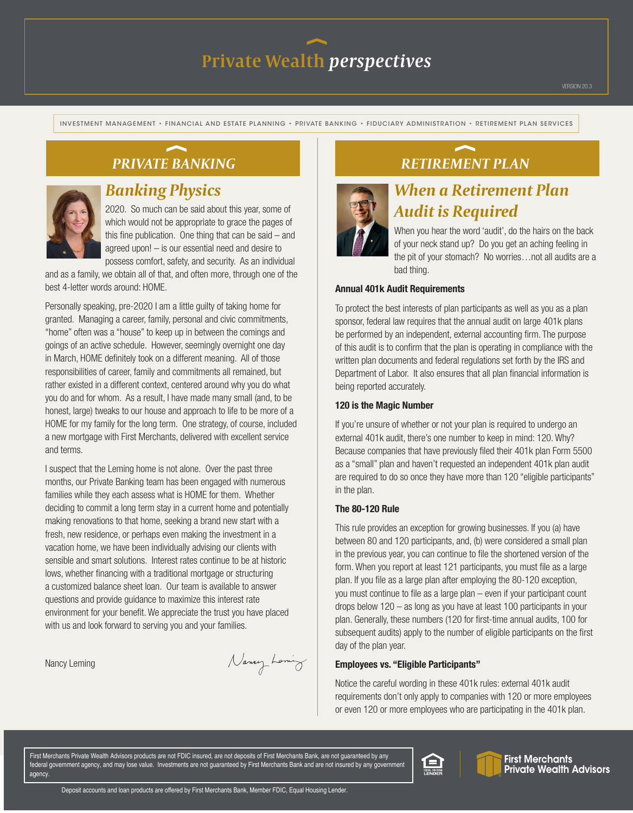INVESTMENT MANAGEMENT • FINANCIAL AND ESTATE PLANNING • PRIVATE BANKING • FIDUCIARY ADMINISTRATION • RETIREMENT PLAN SERVICES

## *PRIVATE BANKING*



## *Banking Physics*

2020. So much can be said about this year, some of which would not be appropriate to grace the pages of this fine publication. One thing that can be said – and agreed upon! – is our essential need and desire to possess comfort, safety, and security. As an individual

and as a family, we obtain all of that, and often more, through one of the best 4-letter words around: HOME.

Personally speaking, pre-2020 I am a little guilty of taking home for granted. Managing a career, family, personal and civic commitments, "home" often was a "house" to keep up in between the comings and goings of an active schedule. However, seemingly overnight one day in March, HOME definitely took on a different meaning. All of those responsibilities of career, family and commitments all remained, but rather existed in a different context, centered around why you do what you do and for whom. As a result, I have made many small (and, to be honest, large) tweaks to our house and approach to life to be more of a HOME for my family for the long term. One strategy, of course, included a new mortgage with First Merchants, delivered with excellent service and terms.

I suspect that the Leming home is not alone. Over the past three months, our Private Banking team has been engaged with numerous families while they each assess what is HOME for them. Whether deciding to commit a long term stay in a current home and potentially making renovations to that home, seeking a brand new start with a fresh, new residence, or perhaps even making the investment in a vacation home, we have been individually advising our clients with sensible and smart solutions. Interest rates continue to be at historic lows, whether financing with a traditional mortgage or structuring a customized balance sheet loan. Our team is available to answer questions and provide guidance to maximize this interest rate environment for your benefit. We appreciate the trust you have placed with us and look forward to serving you and your families.

Nancy Leming

Nancy Loming

## *RETIREMENT PLAN*



## *When a Retirement Plan Audit is Required*

When you hear the word 'audit', do the hairs on the back of your neck stand up? Do you get an aching feeling in the pit of your stomach? No worries…not all audits are a bad thing.

#### Annual 401k Audit Requirements

To protect the best interests of plan participants as well as you as a plan sponsor, federal law requires that the annual audit on large 401k plans be performed by an independent, external accounting firm. The purpose of this audit is to confirm that the plan is operating in compliance with the written plan documents and federal regulations set forth by the IRS and Department of Labor. It also ensures that all plan financial information is being reported accurately.

#### 120 is the Magic Number

If you're unsure of whether or not your plan is required to undergo an external 401k audit, there's one number to keep in mind: 120. Why? Because companies that have previously filed their 401k plan Form 5500 as a "small" plan and haven't requested an independent 401k plan audit are required to do so once they have more than 120 "eligible participants" in the plan.

#### The 80-120 Rule

This rule provides an exception for growing businesses. If you (a) have between 80 and 120 participants, and, (b) were considered a small plan in the previous year, you can continue to file the shortened version of the form. When you report at least 121 participants, you must file as a large plan. If you file as a large plan after employing the 80-120 exception, you must continue to file as a large plan – even if your participant count drops below 120 – as long as you have at least 100 participants in your plan. Generally, these numbers (120 for first-time annual audits, 100 for subsequent audits) apply to the number of eligible participants on the first day of the plan year.

#### Employees vs. "Eligible Participants"

Notice the careful wording in these 401k rules: external 401k audit requirements don't only apply to companies with 120 or more employees or even 120 or more employees who are participating in the 401k plan.

First Merchants Private Wealth Advisors products are not FDIC insured, are not deposits of First Merchants Bank, are not guaranteed by any federal government agency, and may lose value. Investments are not guaranteed by First Merchants Bank and are not insured by any government agency.





**First Merchants Private Wealth Advisors**